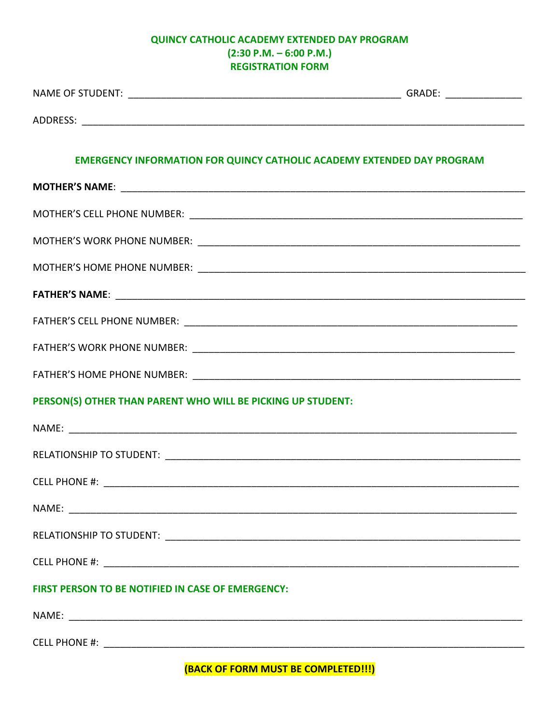## QUINCY CATHOLIC ACADEMY EXTENDED DAY PROGRAM  $(2:30 P.M. - 6:00 P.M.)$ **REGISTRATION FORM**

| <b>EMERGENCY INFORMATION FOR QUINCY CATHOLIC ACADEMY EXTENDED DAY PROGRAM</b> |  |
|-------------------------------------------------------------------------------|--|
|                                                                               |  |
|                                                                               |  |
|                                                                               |  |
|                                                                               |  |
|                                                                               |  |
|                                                                               |  |
|                                                                               |  |
|                                                                               |  |
| PERSON(S) OTHER THAN PARENT WHO WILL BE PICKING UP STUDENT:                   |  |
|                                                                               |  |
|                                                                               |  |
|                                                                               |  |
|                                                                               |  |
|                                                                               |  |
|                                                                               |  |
| FIRST PERSON TO BE NOTIFIED IN CASE OF EMERGENCY:                             |  |
|                                                                               |  |
|                                                                               |  |

**(BACK OF FORM MUST BE COMPLETED!!!)**